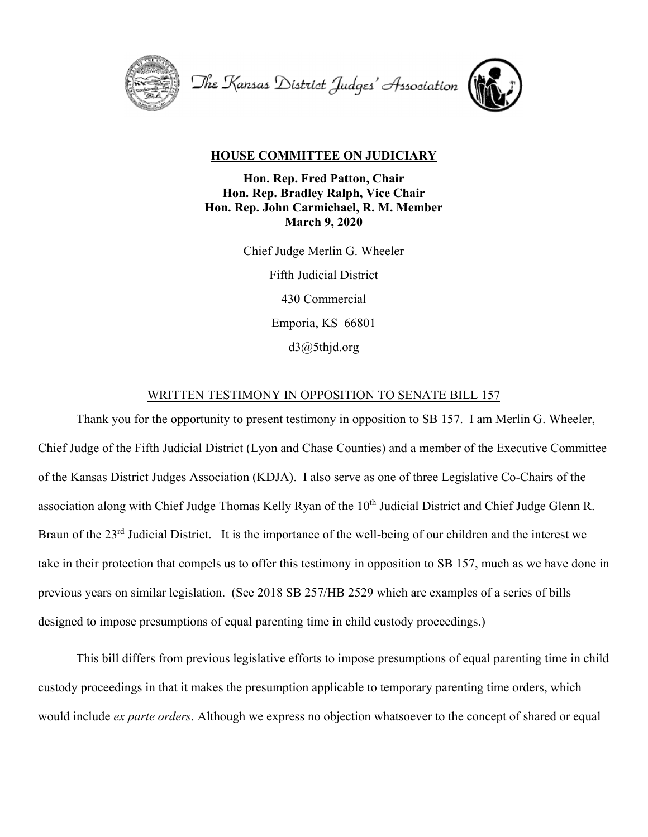

The Kansas District Judges' Association



## **HOUSE COMMITTEE ON JUDICIARY**

**Hon. Rep. Fred Patton, Chair Hon. Rep. Bradley Ralph, Vice Chair Hon. Rep. John Carmichael, R. M. Member March 9, 2020** 

> Chief Judge Merlin G. Wheeler Fifth Judicial District 430 Commercial Emporia, KS 66801 d3@5thjd.org

## WRITTEN TESTIMONY IN OPPOSITION TO SENATE BILL 157

 Thank you for the opportunity to present testimony in opposition to SB 157. I am Merlin G. Wheeler, Chief Judge of the Fifth Judicial District (Lyon and Chase Counties) and a member of the Executive Committee of the Kansas District Judges Association (KDJA). I also serve as one of three Legislative Co-Chairs of the association along with Chief Judge Thomas Kelly Ryan of the 10<sup>th</sup> Judicial District and Chief Judge Glenn R. Braun of the 23rd Judicial District. It is the importance of the well-being of our children and the interest we take in their protection that compels us to offer this testimony in opposition to SB 157, much as we have done in previous years on similar legislation. (See 2018 SB 257/HB 2529 which are examples of a series of bills designed to impose presumptions of equal parenting time in child custody proceedings.)

 This bill differs from previous legislative efforts to impose presumptions of equal parenting time in child custody proceedings in that it makes the presumption applicable to temporary parenting time orders, which would include *ex parte orders*. Although we express no objection whatsoever to the concept of shared or equal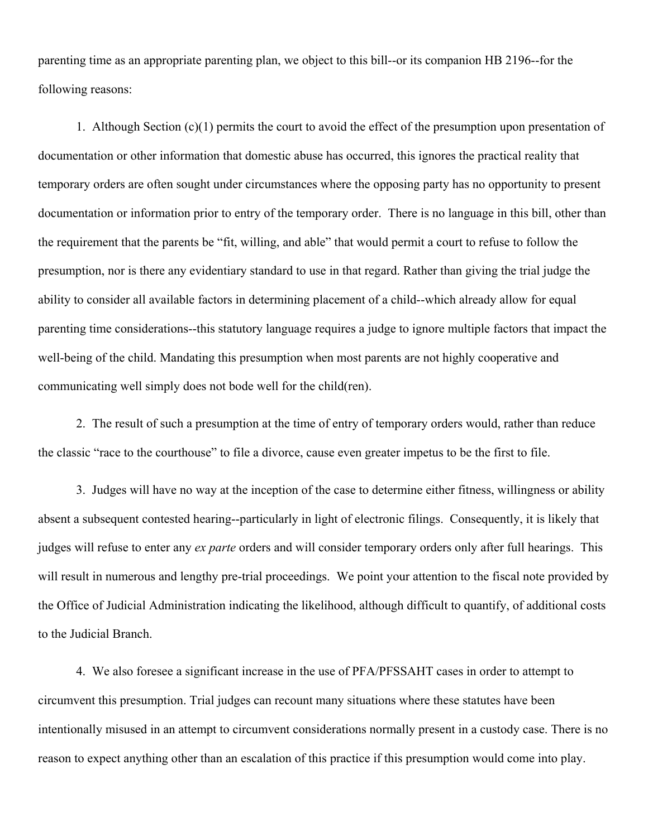parenting time as an appropriate parenting plan, we object to this bill--or its companion HB 2196--for the following reasons:

 1. Although Section (c)(1) permits the court to avoid the effect of the presumption upon presentation of documentation or other information that domestic abuse has occurred, this ignores the practical reality that temporary orders are often sought under circumstances where the opposing party has no opportunity to present documentation or information prior to entry of the temporary order. There is no language in this bill, other than the requirement that the parents be "fit, willing, and able" that would permit a court to refuse to follow the presumption, nor is there any evidentiary standard to use in that regard. Rather than giving the trial judge the ability to consider all available factors in determining placement of a child--which already allow for equal parenting time considerations--this statutory language requires a judge to ignore multiple factors that impact the well-being of the child. Mandating this presumption when most parents are not highly cooperative and communicating well simply does not bode well for the child(ren).

 2. The result of such a presumption at the time of entry of temporary orders would, rather than reduce the classic "race to the courthouse" to file a divorce, cause even greater impetus to be the first to file.

 3. Judges will have no way at the inception of the case to determine either fitness, willingness or ability absent a subsequent contested hearing--particularly in light of electronic filings. Consequently, it is likely that judges will refuse to enter any *ex parte* orders and will consider temporary orders only after full hearings. This will result in numerous and lengthy pre-trial proceedings. We point your attention to the fiscal note provided by the Office of Judicial Administration indicating the likelihood, although difficult to quantify, of additional costs to the Judicial Branch.

 4. We also foresee a significant increase in the use of PFA/PFSSAHT cases in order to attempt to circumvent this presumption. Trial judges can recount many situations where these statutes have been intentionally misused in an attempt to circumvent considerations normally present in a custody case. There is no reason to expect anything other than an escalation of this practice if this presumption would come into play.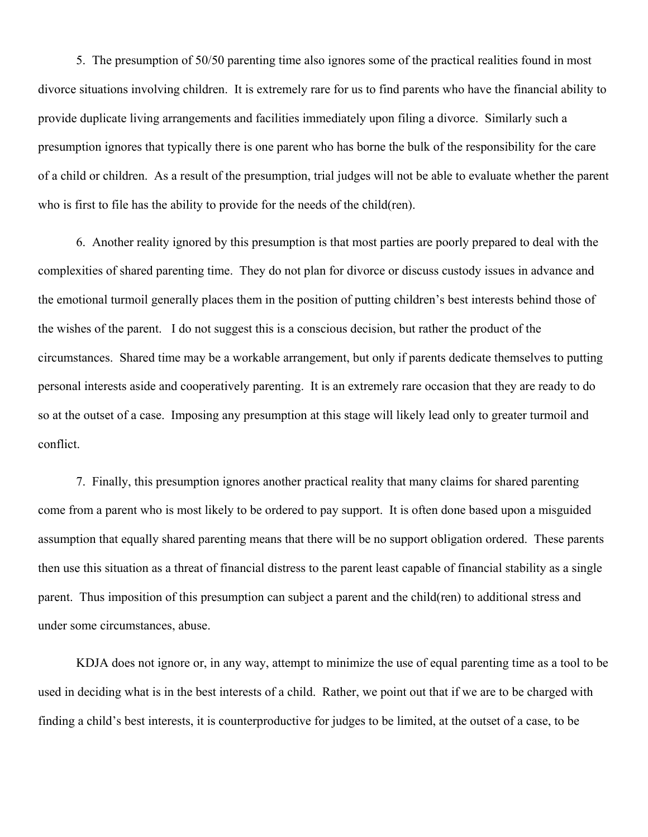5. The presumption of 50/50 parenting time also ignores some of the practical realities found in most divorce situations involving children. It is extremely rare for us to find parents who have the financial ability to provide duplicate living arrangements and facilities immediately upon filing a divorce. Similarly such a presumption ignores that typically there is one parent who has borne the bulk of the responsibility for the care of a child or children. As a result of the presumption, trial judges will not be able to evaluate whether the parent who is first to file has the ability to provide for the needs of the child(ren).

 6. Another reality ignored by this presumption is that most parties are poorly prepared to deal with the complexities of shared parenting time. They do not plan for divorce or discuss custody issues in advance and the emotional turmoil generally places them in the position of putting children's best interests behind those of the wishes of the parent. I do not suggest this is a conscious decision, but rather the product of the circumstances. Shared time may be a workable arrangement, but only if parents dedicate themselves to putting personal interests aside and cooperatively parenting. It is an extremely rare occasion that they are ready to do so at the outset of a case. Imposing any presumption at this stage will likely lead only to greater turmoil and conflict.

 7. Finally, this presumption ignores another practical reality that many claims for shared parenting come from a parent who is most likely to be ordered to pay support. It is often done based upon a misguided assumption that equally shared parenting means that there will be no support obligation ordered. These parents then use this situation as a threat of financial distress to the parent least capable of financial stability as a single parent. Thus imposition of this presumption can subject a parent and the child(ren) to additional stress and under some circumstances, abuse.

 KDJA does not ignore or, in any way, attempt to minimize the use of equal parenting time as a tool to be used in deciding what is in the best interests of a child. Rather, we point out that if we are to be charged with finding a child's best interests, it is counterproductive for judges to be limited, at the outset of a case, to be